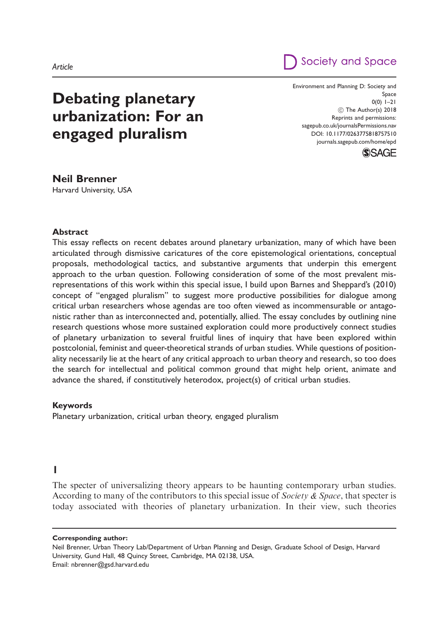Environment and Planning D: Society and Space  $0(0)$  1–21 (C) The Author(s) 2018 Reprints and permissions: [sagepub.co.uk/journalsPermissions.nav](http://uk.sagepub.com/en-gb/journals-permissions) [DOI: 10.1177/0263775818757510](http://dx.doi.org/10.1177/0263775818757510) <journals.sagepub.com/home/epd>



Article

# Debating planetary urbanization: For an engaged pluralism

Neil Brenner Harvard University, USA

## Abstract

This essay reflects on recent debates around planetary urbanization, many of which have been articulated through dismissive caricatures of the core epistemological orientations, conceptual proposals, methodological tactics, and substantive arguments that underpin this emergent approach to the urban question. Following consideration of some of the most prevalent misrepresentations of this work within this special issue, I build upon Barnes and Sheppard's (2010) concept of "engaged pluralism" to suggest more productive possibilities for dialogue among critical urban researchers whose agendas are too often viewed as incommensurable or antagonistic rather than as interconnected and, potentially, allied. The essay concludes by outlining nine research questions whose more sustained exploration could more productively connect studies of planetary urbanization to several fruitful lines of inquiry that have been explored within postcolonial, feminist and queer-theoretical strands of urban studies. While questions of positionality necessarily lie at the heart of any critical approach to urban theory and research, so too does the search for intellectual and political common ground that might help orient, animate and advance the shared, if constitutively heterodox, project(s) of critical urban studies.

## Keywords

Planetary urbanization, critical urban theory, engaged pluralism

# 1

The specter of universalizing theory appears to be haunting contemporary urban studies. According to many of the contributors to this special issue of *Society & Space*, that specter is today associated with theories of planetary urbanization. In their view, such theories

Corresponding author:

Neil Brenner, Urban Theory Lab/Department of Urban Planning and Design, Graduate School of Design, Harvard University, Gund Hall, 48 Quincy Street, Cambridge, MA 02138, USA. Email: [nbrenner@gsd.harvard.edu](mailto:nbrenner@gsd.harvard.edu)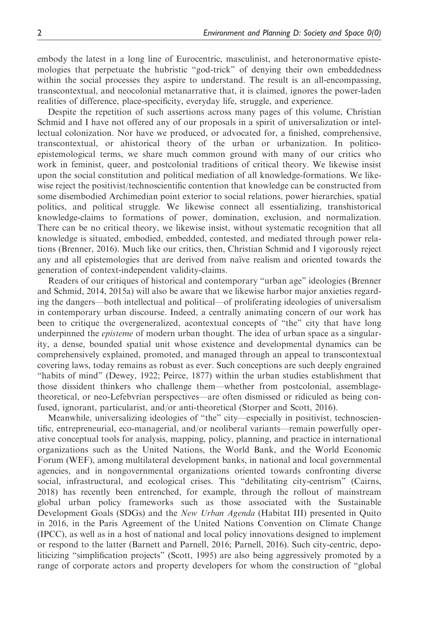embody the latest in a long line of Eurocentric, masculinist, and heteronormative epistemologies that perpetuate the hubristic "god-trick" of denying their own embeddedness within the social processes they aspire to understand. The result is an all-encompassing, transcontextual, and neocolonial metanarrative that, it is claimed, ignores the power-laden realities of difference, place-specificity, everyday life, struggle, and experience.

Despite the repetition of such assertions across many pages of this volume, Christian Schmid and I have not offered any of our proposals in a spirit of universalization or intellectual colonization. Nor have we produced, or advocated for, a finished, comprehensive, transcontextual, or ahistorical theory of the urban or urbanization. In politicoepistemological terms, we share much common ground with many of our critics who work in feminist, queer, and postcolonial traditions of critical theory. We likewise insist upon the social constitution and political mediation of all knowledge-formations. We likewise reject the positivist/technoscientific contention that knowledge can be constructed from some disembodied Archimedian point exterior to social relations, power hierarchies, spatial politics, and political struggle. We likewise connect all essentializing, transhistorical knowledge-claims to formations of power, domination, exclusion, and normalization. There can be no critical theory, we likewise insist, without systematic recognition that all knowledge is situated, embodied, embedded, contested, and mediated through power relations (Brenner, 2016). Much like our critics, then, Christian Schmid and I vigorously reject any and all epistemologies that are derived from naïve realism and oriented towards the generation of context-independent validity-claims.

Readers of our critiques of historical and contemporary "urban age" ideologies (Brenner and Schmid, 2014, 2015a) will also be aware that we likewise harbor major anxieties regarding the dangers—both intellectual and political—of proliferating ideologies of universalism in contemporary urban discourse. Indeed, a centrally animating concern of our work has been to critique the overgeneralized, acontextual concepts of "the" city that have long underpinned the *episteme* of modern urban thought. The idea of urban space as a singularity, a dense, bounded spatial unit whose existence and developmental dynamics can be comprehensively explained, promoted, and managed through an appeal to transcontextual covering laws, today remains as robust as ever. Such conceptions are such deeply engrained "habits of mind" (Dewey, 1922; Peirce, 1877) within the urban studies establishment that those dissident thinkers who challenge them—whether from postcolonial, assemblagetheoretical, or neo-Lefebvrian perspectives—are often dismissed or ridiculed as being confused, ignorant, particularist, and/or anti-theoretical (Storper and Scott, 2016).

Meanwhile, universalizing ideologies of "the" city—especially in positivist, technoscientific, entrepreneurial, eco-managerial, and/or neoliberal variants—remain powerfully operative conceptual tools for analysis, mapping, policy, planning, and practice in international organizations such as the United Nations, the World Bank, and the World Economic Forum (WEF), among multilateral development banks, in national and local governmental agencies, and in nongovernmental organizations oriented towards confronting diverse social, infrastructural, and ecological crises. This "debilitating city-centrism" (Cairns, 2018) has recently been entrenched, for example, through the rollout of mainstream global urban policy frameworks such as those associated with the Sustainable Development Goals (SDGs) and the *New Urban Agenda* (Habitat III) presented in Quito in 2016, in the Paris Agreement of the United Nations Convention on Climate Change (IPCC), as well as in a host of national and local policy innovations designed to implement or respond to the latter (Barnett and Parnell, 2016; Parnell, 2016). Such city-centric, depoliticizing "simplification projects" (Scott, 1995) are also being aggressively promoted by a range of corporate actors and property developers for whom the construction of "global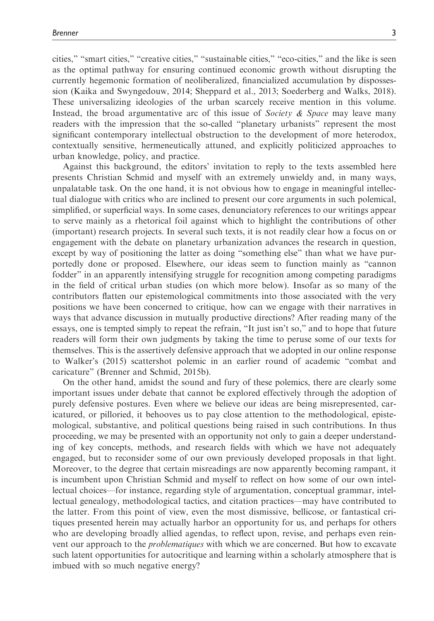cities," "smart cities," "creative cities," "sustainable cities," "eco-cities," and the like is seen as the optimal pathway for ensuring continued economic growth without disrupting the currently hegemonic formation of neoliberalized, financialized accumulation by dispossession (Kaika and Swyngedouw, 2014; Sheppard et al., 2013; Soederberg and Walks, 2018). These universalizing ideologies of the urban scarcely receive mention in this volume. Instead, the broad argumentative arc of this issue of *Society & Space* may leave many readers with the impression that the so-called "planetary urbanists" represent the most significant contemporary intellectual obstruction to the development of more heterodox, contextually sensitive, hermeneutically attuned, and explicitly politicized approaches to urban knowledge, policy, and practice.

Against this background, the editors' invitation to reply to the texts assembled here presents Christian Schmid and myself with an extremely unwieldy and, in many ways, unpalatable task. On the one hand, it is not obvious how to engage in meaningful intellectual dialogue with critics who are inclined to present our core arguments in such polemical, simplified, or superficial ways. In some cases, denunciatory references to our writings appear to serve mainly as a rhetorical foil against which to highlight the contributions of other (important) research projects. In several such texts, it is not readily clear how a focus on or engagement with the debate on planetary urbanization advances the research in question, except by way of positioning the latter as doing "something else" than what we have purportedly done or proposed. Elsewhere, our ideas seem to function mainly as "cannon fodder" in an apparently intensifying struggle for recognition among competing paradigms in the field of critical urban studies (on which more below). Insofar as so many of the contributors flatten our epistemological commitments into those associated with the very positions we have been concerned to critique, how can we engage with their narratives in ways that advance discussion in mutually productive directions? After reading many of the essays, one is tempted simply to repeat the refrain, "It just isn't so," and to hope that future readers will form their own judgments by taking the time to peruse some of our texts for themselves. This is the assertively defensive approach that we adopted in our online response to Walker's (2015) scattershot polemic in an earlier round of academic "combat and caricature" (Brenner and Schmid, 2015b).

On the other hand, amidst the sound and fury of these polemics, there are clearly some important issues under debate that cannot be explored effectively through the adoption of purely defensive postures. Even where we believe our ideas are being misrepresented, caricatured, or pilloried, it behooves us to pay close attention to the methodological, epistemological, substantive, and political questions being raised in such contributions. In thus proceeding, we may be presented with an opportunity not only to gain a deeper understanding of key concepts, methods, and research fields with which we have not adequately engaged, but to reconsider some of our own previously developed proposals in that light. Moreover, to the degree that certain misreadings are now apparently becoming rampant, it is incumbent upon Christian Schmid and myself to reflect on how some of our own intellectual choices—for instance, regarding style of argumentation, conceptual grammar, intellectual genealogy, methodological tactics, and citation practices—may have contributed to the latter. From this point of view, even the most dismissive, bellicose, or fantastical critiques presented herein may actually harbor an opportunity for us, and perhaps for others who are developing broadly allied agendas, to reflect upon, revise, and perhaps even reinvent our approach to the *problematiques* with which we are concerned. But how to excavate such latent opportunities for autocritique and learning within a scholarly atmosphere that is imbued with so much negative energy?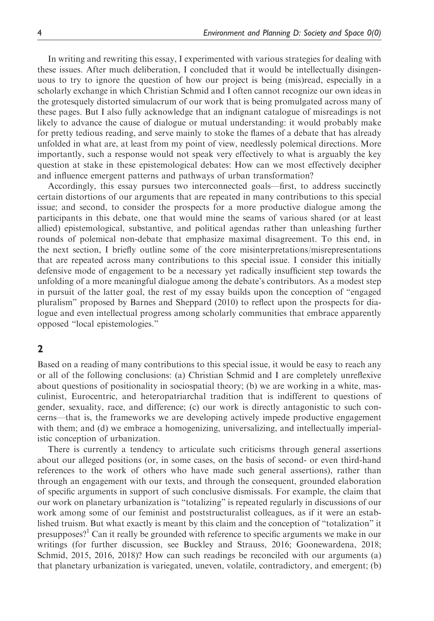In writing and rewriting this essay, I experimented with various strategies for dealing with these issues. After much deliberation, I concluded that it would be intellectually disingenuous to try to ignore the question of how our project is being (mis)read, especially in a scholarly exchange in which Christian Schmid and I often cannot recognize our own ideas in the grotesquely distorted simulacrum of our work that is being promulgated across many of these pages. But I also fully acknowledge that an indignant catalogue of misreadings is not likely to advance the cause of dialogue or mutual understanding: it would probably make for pretty tedious reading, and serve mainly to stoke the flames of a debate that has already unfolded in what are, at least from my point of view, needlessly polemical directions. More importantly, such a response would not speak very effectively to what is arguably the key question at stake in these epistemological debates: How can we most effectively decipher and influence emergent patterns and pathways of urban transformation?

Accordingly, this essay pursues two interconnected goals—first, to address succinctly certain distortions of our arguments that are repeated in many contributions to this special issue; and second, to consider the prospects for a more productive dialogue among the participants in this debate, one that would mine the seams of various shared (or at least allied) epistemological, substantive, and political agendas rather than unleashing further rounds of polemical non-debate that emphasize maximal disagreement. To this end, in the next section, I briefly outline some of the core misinterpretations/misrepresentations that are repeated across many contributions to this special issue. I consider this initially defensive mode of engagement to be a necessary yet radically insufficient step towards the unfolding of a more meaningful dialogue among the debate's contributors. As a modest step in pursuit of the latter goal, the rest of my essay builds upon the conception of "engaged pluralism" proposed by Barnes and Sheppard (2010) to reflect upon the prospects for dialogue and even intellectual progress among scholarly communities that embrace apparently opposed "local epistemologies."

## 2

Based on a reading of many contributions to this special issue, it would be easy to reach any or all of the following conclusions: (a) Christian Schmid and I are completely unreflexive about questions of positionality in sociospatial theory; (b) we are working in a white, masculinist, Eurocentric, and heteropatriarchal tradition that is indifferent to questions of gender, sexuality, race, and difference; (c) our work is directly antagonistic to such concerns—that is, the frameworks we are developing actively impede productive engagement with them; and (d) we embrace a homogenizing, universalizing, and intellectually imperialistic conception of urbanization.

There is currently a tendency to articulate such criticisms through general assertions about our alleged positions (or, in some cases, on the basis of second- or even third-hand references to the work of others who have made such general assertions), rather than through an engagement with our texts, and through the consequent, grounded elaboration of specific arguments in support of such conclusive dismissals. For example, the claim that our work on planetary urbanization is "totalizing" is repeated regularly in discussions of our work among some of our feminist and poststructuralist colleagues, as if it were an established truism. But what exactly is meant by this claim and the conception of "totalization" it presupposes?<sup>1</sup> Can it really be grounded with reference to specific arguments we make in our writings (for further discussion, see Buckley and Strauss, 2016; Goonewardena, 2018; Schmid, 2015, 2016, 2018)? How can such readings be reconciled with our arguments (a) that planetary urbanization is variegated, uneven, volatile, contradictory, and emergent; (b)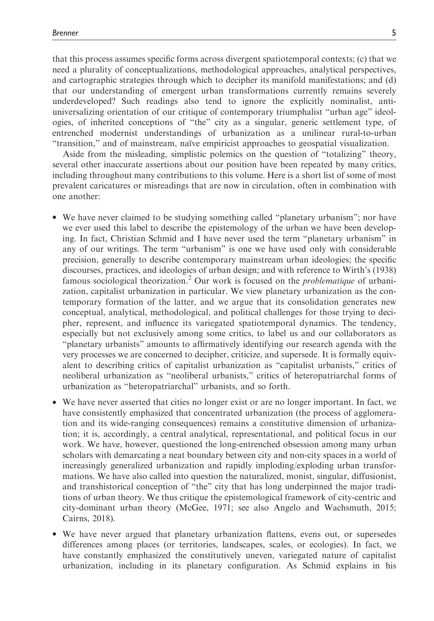that this process assumes specific forms across divergent spatiotemporal contexts; (c) that we need a plurality of conceptualizations, methodological approaches, analytical perspectives, and cartographic strategies through which to decipher its manifold manifestations; and (d) that our understanding of emergent urban transformations currently remains severely underdeveloped? Such readings also tend to ignore the explicitly nominalist, antiuniversalizing orientation of our critique of contemporary triumphalist "urban age" ideologies, of inherited conceptions of "the" city as a singular, generic settlement type, of entrenched modernist understandings of urbanization as a unilinear rural-to-urban "transition," and of mainstream, naïve empiricist approaches to geospatial visualization.

Aside from the misleading, simplistic polemics on the question of "totalizing" theory, several other inaccurate assertions about our position have been repeated by many critics, including throughout many contributions to this volume. Here is a short list of some of most prevalent caricatures or misreadings that are now in circulation, often in combination with one another:

- We have never claimed to be studying something called "planetary urbanism"; nor have we ever used this label to describe the epistemology of the urban we have been developing. In fact, Christian Schmid and I have never used the term "planetary urbanism" in any of our writings. The term "urbanism" is one we have used only with considerable precision, generally to describe contemporary mainstream urban ideologies; the specific discourses, practices, and ideologies of urban design; and with reference to Wirth's (1938) famous sociological theorization.<sup>2</sup> Our work is focused on the *problematique* of urbanization, capitalist urbanization in particular. We view planetary urbanization as the contemporary formation of the latter, and we argue that its consolidation generates new conceptual, analytical, methodological, and political challenges for those trying to decipher, represent, and influence its variegated spatiotemporal dynamics. The tendency, especially but not exclusively among some critics, to label us and our collaborators as "planetary urbanists" amounts to affirmatively identifying our research agenda with the very processes we are concerned to decipher, criticize, and supersede. It is formally equivalent to describing critics of capitalist urbanization as "capitalist urbanists," critics of neoliberal urbanization as "neoliberal urbanists," critics of heteropatriarchal forms of urbanization as "heteropatriarchal" urbanists, and so forth.
- We have never asserted that cities no longer exist or are no longer important. In fact, we have consistently emphasized that concentrated urbanization (the process of agglomeration and its wide-ranging consequences) remains a constitutive dimension of urbanization; it is, accordingly, a central analytical, representational, and political focus in our work. We have, however, questioned the long-entrenched obsession among many urban scholars with demarcating a neat boundary between city and non-city spaces in a world of increasingly generalized urbanization and rapidly imploding/exploding urban transformations. We have also called into question the naturalized, monist, singular, diffusionist, and transhistorical conception of "the" city that has long underpinned the major traditions of urban theory. We thus critique the epistemological framework of city-centric and city-dominant urban theory (McGee, 1971; see also Angelo and Wachsmuth, 2015; Cairns, 2018).
- We have never argued that planetary urbanization flattens, evens out, or supersedes differences among places (or territories, landscapes, scales, or ecologies). In fact, we have constantly emphasized the constitutively uneven, variegated nature of capitalist urbanization, including in its planetary configuration. As Schmid explains in his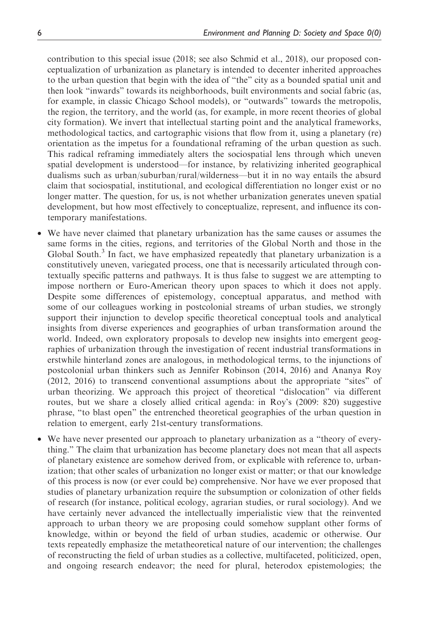contribution to this special issue (2018; see also Schmid et al., 2018), our proposed conceptualization of urbanization as planetary is intended to decenter inherited approaches to the urban question that begin with the idea of "the" city as a bounded spatial unit and then look "inwards" towards its neighborhoods, built environments and social fabric (as, for example, in classic Chicago School models), or "outwards" towards the metropolis, the region, the territory, and the world (as, for example, in more recent theories of global city formation). We invert that intellectual starting point and the analytical frameworks, methodological tactics, and cartographic visions that flow from it, using a planetary (re) orientation as the impetus for a foundational reframing of the urban question as such. This radical reframing immediately alters the sociospatial lens through which uneven spatial development is understood—for instance, by relativizing inherited geographical dualisms such as urban/suburban/rural/wilderness—but it in no way entails the absurd claim that sociospatial, institutional, and ecological differentiation no longer exist or no longer matter. The question, for us, is not whether urbanization generates uneven spatial development, but how most effectively to conceptualize, represent, and influence its contemporary manifestations.

- We have never claimed that planetary urbanization has the same causes or assumes the same forms in the cities, regions, and territories of the Global North and those in the Global South. $3$  In fact, we have emphasized repeatedly that planetary urbanization is a constitutively uneven, variegated process, one that is necessarily articulated through contextually specific patterns and pathways. It is thus false to suggest we are attempting to impose northern or Euro-American theory upon spaces to which it does not apply. Despite some differences of epistemology, conceptual apparatus, and method with some of our colleagues working in postcolonial streams of urban studies, we strongly support their injunction to develop specific theoretical conceptual tools and analytical insights from diverse experiences and geographies of urban transformation around the world. Indeed, own exploratory proposals to develop new insights into emergent geographies of urbanization through the investigation of recent industrial transformations in erstwhile hinterland zones are analogous, in methodological terms, to the injunctions of postcolonial urban thinkers such as Jennifer Robinson (2014, 2016) and Ananya Roy (2012, 2016) to transcend conventional assumptions about the appropriate "sites" of urban theorizing. We approach this project of theoretical "dislocation" via different routes, but we share a closely allied critical agenda: in Roy's (2009: 820) suggestive phrase, "to blast open" the entrenched theoretical geographies of the urban question in relation to emergent, early 21st-century transformations.
- We have never presented our approach to planetary urbanization as a "theory of everything." The claim that urbanization has become planetary does not mean that all aspects of planetary existence are somehow derived from, or explicable with reference to, urbanization; that other scales of urbanization no longer exist or matter; or that our knowledge of this process is now (or ever could be) comprehensive. Nor have we ever proposed that studies of planetary urbanization require the subsumption or colonization of other fields of research (for instance, political ecology, agrarian studies, or rural sociology). And we have certainly never advanced the intellectually imperialistic view that the reinvented approach to urban theory we are proposing could somehow supplant other forms of knowledge, within or beyond the field of urban studies, academic or otherwise. Our texts repeatedly emphasize the metatheoretical nature of our intervention; the challenges of reconstructing the field of urban studies as a collective, multifaceted, politicized, open, and ongoing research endeavor; the need for plural, heterodox epistemologies; the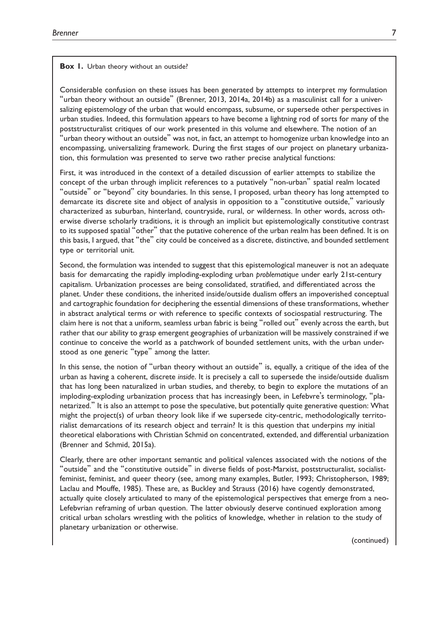#### Box 1. Urban theory without an outside?

Considerable confusion on these issues has been generated by attempts to interpret my formulation "urban theory without an outside" (Brenner, 2013, 2014a, 2014b) as a masculinist call for a universalizing epistemology of the urban that would encompass, subsume, or supersede other perspectives in urban studies. Indeed, this formulation appears to have become a lightning rod of sorts for many of the poststructuralist critiques of our work presented in this volume and elsewhere. The notion of an "urban theory without an outside" was not, in fact, an attempt to homogenize urban knowledge into an encompassing, universalizing framework. During the first stages of our project on planetary urbanization, this formulation was presented to serve two rather precise analytical functions:

First, it was introduced in the context of a detailed discussion of earlier attempts to stabilize the concept of the urban through implicit references to a putatively "non-urban" spatial realm located "outside" or "beyond" city boundaries. In this sense, I proposed, urban theory has long attempted to demarcate its discrete site and object of analysis in opposition to a "constitutive outside," variously characterized as suburban, hinterland, countryside, rural, or wilderness. In other words, across otherwise diverse scholarly traditions, it is through an implicit but epistemologically constitutive contrast to its supposed spatial "other" that the putative coherence of the urban realm has been defined. It is on this basis, I argued, that "the" city could be conceived as a discrete, distinctive, and bounded settlement type or territorial unit.

Second, the formulation was intended to suggest that this epistemological maneuver is not an adequate basis for demarcating the rapidly imploding-exploding urban problematique under early 21st-century capitalism. Urbanization processes are being consolidated, stratified, and differentiated across the planet. Under these conditions, the inherited inside/outside dualism offers an impoverished conceptual and cartographic foundation for deciphering the essential dimensions of these transformations, whether in abstract analytical terms or with reference to specific contexts of sociospatial restructuring. The claim here is not that a uniform, seamless urban fabric is being "rolled out" evenly across the earth, but rather that our ability to grasp emergent geographies of urbanization will be massively constrained if we continue to conceive the world as a patchwork of bounded settlement units, with the urban understood as one generic "type" among the latter.

In this sense, the notion of "urban theory without an outside" is, equally, a critique of the idea of the urban as having a coherent, discrete inside. It is precisely a call to supersede the inside/outside dualism that has long been naturalized in urban studies, and thereby, to begin to explore the mutations of an imploding-exploding urbanization process that has increasingly been, in Lefebvre's terminology, "planetarized." It is also an attempt to pose the speculative, but potentially quite generative question: What might the project(s) of urban theory look like if we supersede city-centric, methodologically territorialist demarcations of its research object and terrain? It is this question that underpins my initial theoretical elaborations with Christian Schmid on concentrated, extended, and differential urbanization (Brenner and Schmid, 2015a).

Clearly, there are other important semantic and political valences associated with the notions of the "outside" and the "constitutive outside" in diverse fields of post-Marxist, poststructuralist, socialistfeminist, feminist, and queer theory (see, among many examples, Butler, 1993; Christopherson, 1989; Laclau and Mouffe, 1985). These are, as Buckley and Strauss (2016) have cogently demonstrated, actually quite closely articulated to many of the epistemological perspectives that emerge from a neo-Lefebvrian reframing of urban question. The latter obviously deserve continued exploration among critical urban scholars wrestling with the politics of knowledge, whether in relation to the study of planetary urbanization or otherwise.

(continued)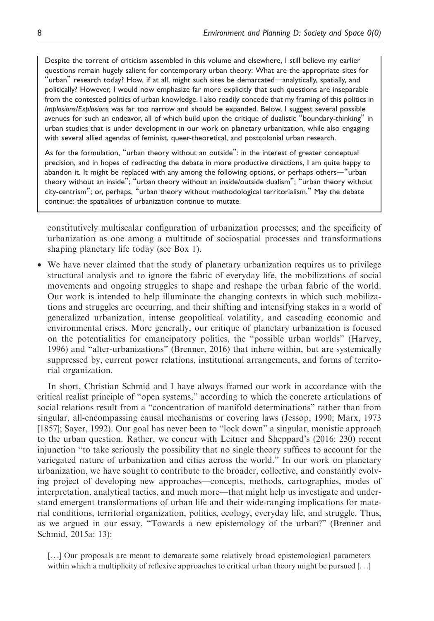Despite the torrent of criticism assembled in this volume and elsewhere, I still believe my earlier questions remain hugely salient for contemporary urban theory: What are the appropriate sites for "urban" research today? How, if at all, might such sites be demarcated—analytically, spatially, and politically? However, I would now emphasize far more explicitly that such questions are inseparable from the contested politics of urban knowledge. I also readily concede that my framing of this politics in Implosions/Explosions was far too narrow and should be expanded. Below, I suggest several possible avenues for such an endeavor, all of which build upon the critique of dualistic "boundary-thinking" in urban studies that is under development in our work on planetary urbanization, while also engaging with several allied agendas of feminist, queer-theoretical, and postcolonial urban research.

As for the formulation, "urban theory without an outside": in the interest of greater conceptual precision, and in hopes of redirecting the debate in more productive directions, I am quite happy to abandon it. It might be replaced with any among the following options, or perhaps others—"urban theory without an inside"; "urban theory without an inside/outside dualism"; "urban theory without city-centrism"; or, perhaps, "urban theory without methodological territorialism." May the debate continue: the spatialities of urbanization continue to mutate.

constitutively multiscalar configuration of urbanization processes; and the specificity of urbanization as one among a multitude of sociospatial processes and transformations shaping planetary life today (see Box 1).

• We have never claimed that the study of planetary urbanization requires us to privilege structural analysis and to ignore the fabric of everyday life, the mobilizations of social movements and ongoing struggles to shape and reshape the urban fabric of the world. Our work is intended to help illuminate the changing contexts in which such mobilizations and struggles are occurring, and their shifting and intensifying stakes in a world of generalized urbanization, intense geopolitical volatility, and cascading economic and environmental crises. More generally, our critique of planetary urbanization is focused on the potentialities for emancipatory politics, the "possible urban worlds" (Harvey, 1996) and "alter-urbanizations" (Brenner, 2016) that inhere within, but are systemically suppressed by, current power relations, institutional arrangements, and forms of territorial organization.

In short, Christian Schmid and I have always framed our work in accordance with the critical realist principle of "open systems," according to which the concrete articulations of social relations result from a "concentration of manifold determinations" rather than from singular, all-encompassing causal mechanisms or covering laws (Jessop, 1990; Marx, 1973 [1857]; Sayer, 1992). Our goal has never been to "lock down" a singular, monistic approach to the urban question. Rather, we concur with Leitner and Sheppard's (2016: 230) recent injunction "to take seriously the possibility that no single theory suffices to account for the variegated nature of urbanization and cities across the world." In our work on planetary urbanization, we have sought to contribute to the broader, collective, and constantly evolving project of developing new approaches—concepts, methods, cartographies, modes of interpretation, analytical tactics, and much more—that might help us investigate and understand emergent transformations of urban life and their wide-ranging implications for material conditions, territorial organization, politics, ecology, everyday life, and struggle. Thus, as we argued in our essay, "Towards a new epistemology of the urban?" (Brenner and Schmid, 2015a: 13):

[...] Our proposals are meant to demarcate some relatively broad epistemological parameters within which a multiplicity of reflexive approaches to critical urban theory might be pursued [...]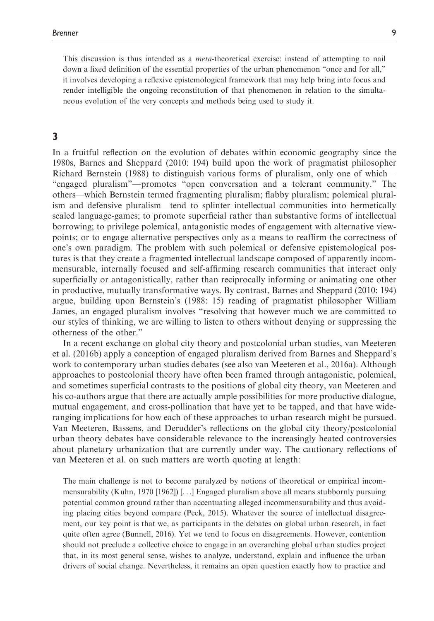This discussion is thus intended as a *meta*-theoretical exercise: instead of attempting to nail down a fixed definition of the essential properties of the urban phenomenon "once and for all," it involves developing a reflexive epistemological framework that may help bring into focus and render intelligible the ongoing reconstitution of that phenomenon in relation to the simultaneous evolution of the very concepts and methods being used to study it.

## 3

In a fruitful reflection on the evolution of debates within economic geography since the 1980s, Barnes and Sheppard (2010: 194) build upon the work of pragmatist philosopher Richard Bernstein (1988) to distinguish various forms of pluralism, only one of which— "engaged pluralism"—promotes "open conversation and a tolerant community." The others—which Bernstein termed fragmenting pluralism; flabby pluralism; polemical pluralism and defensive pluralism—tend to splinter intellectual communities into hermetically sealed language-games; to promote superficial rather than substantive forms of intellectual borrowing; to privilege polemical, antagonistic modes of engagement with alternative viewpoints; or to engage alternative perspectives only as a means to reaffirm the correctness of one's own paradigm. The problem with such polemical or defensive epistemological postures is that they create a fragmented intellectual landscape composed of apparently incommensurable, internally focused and self-affirming research communities that interact only superficially or antagonistically, rather than reciprocally informing or animating one other in productive, mutually transformative ways. By contrast, Barnes and Sheppard (2010: 194) argue, building upon Bernstein's (1988: 15) reading of pragmatist philosopher William James, an engaged pluralism involves "resolving that however much we are committed to our styles of thinking, we are willing to listen to others without denying or suppressing the otherness of the other."

In a recent exchange on global city theory and postcolonial urban studies, van Meeteren et al. (2016b) apply a conception of engaged pluralism derived from Barnes and Sheppard's work to contemporary urban studies debates (see also van Meeteren et al., 2016a). Although approaches to postcolonial theory have often been framed through antagonistic, polemical, and sometimes superficial contrasts to the positions of global city theory, van Meeteren and his co-authors argue that there are actually ample possibilities for more productive dialogue, mutual engagement, and cross-pollination that have yet to be tapped, and that have wideranging implications for how each of these approaches to urban research might be pursued. Van Meeteren, Bassens, and Derudder's reflections on the global city theory/postcolonial urban theory debates have considerable relevance to the increasingly heated controversies about planetary urbanization that are currently under way. The cautionary reflections of van Meeteren et al. on such matters are worth quoting at length:

The main challenge is not to become paralyzed by notions of theoretical or empirical incommensurability (Kuhn, 1970 [1962]) [...] Engaged pluralism above all means stubbornly pursuing potential common ground rather than accentuating alleged incommensurability and thus avoiding placing cities beyond compare (Peck, 2015). Whatever the source of intellectual disagreement, our key point is that we, as participants in the debates on global urban research, in fact quite often agree (Bunnell, 2016). Yet we tend to focus on disagreements. However, contention should not preclude a collective choice to engage in an overarching global urban studies project that, in its most general sense, wishes to analyze, understand, explain and influence the urban drivers of social change. Nevertheless, it remains an open question exactly how to practice and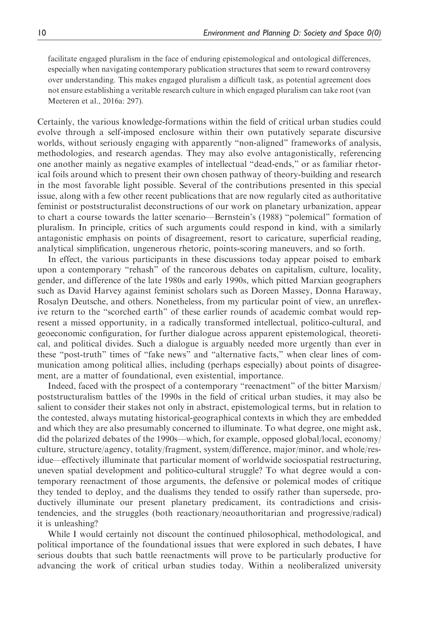facilitate engaged pluralism in the face of enduring epistemological and ontological differences, especially when navigating contemporary publication structures that seem to reward controversy over understanding. This makes engaged pluralism a difficult task, as potential agreement does not ensure establishing a veritable research culture in which engaged pluralism can take root (van Meeteren et al., 2016a: 297).

Certainly, the various knowledge-formations within the field of critical urban studies could evolve through a self-imposed enclosure within their own putatively separate discursive worlds, without seriously engaging with apparently "non-aligned" frameworks of analysis, methodologies, and research agendas. They may also evolve antagonistically, referencing one another mainly as negative examples of intellectual "dead-ends," or as familiar rhetorical foils around which to present their own chosen pathway of theory-building and research in the most favorable light possible. Several of the contributions presented in this special issue, along with a few other recent publications that are now regularly cited as authoritative feminist or poststructuralist deconstructions of our work on planetary urbanization, appear to chart a course towards the latter scenario—Bernstein's (1988) "polemical" formation of pluralism. In principle, critics of such arguments could respond in kind, with a similarly antagonistic emphasis on points of disagreement, resort to caricature, superficial reading, analytical simplification, ungenerous rhetoric, points-scoring maneuvers, and so forth.

In effect, the various participants in these discussions today appear poised to embark upon a contemporary "rehash" of the rancorous debates on capitalism, culture, locality, gender, and difference of the late 1980s and early 1990s, which pitted Marxian geographers such as David Harvey against feminist scholars such as Doreen Massey, Donna Haraway, Rosalyn Deutsche, and others. Nonetheless, from my particular point of view, an unreflexive return to the "scorched earth" of these earlier rounds of academic combat would represent a missed opportunity, in a radically transformed intellectual, politico-cultural, and geoeconomic configuration, for further dialogue across apparent epistemological, theoretical, and political divides. Such a dialogue is arguably needed more urgently than ever in these "post-truth" times of "fake news" and "alternative facts," when clear lines of communication among political allies, including (perhaps especially) about points of disagreement, are a matter of foundational, even existential, importance.

Indeed, faced with the prospect of a contemporary "reenactment" of the bitter Marxism/ poststructuralism battles of the 1990s in the field of critical urban studies, it may also be salient to consider their stakes not only in abstract, epistemological terms, but in relation to the contested, always mutating historical-geographical contexts in which they are embedded and which they are also presumably concerned to illuminate. To what degree, one might ask, did the polarized debates of the 1990s—which, for example, opposed global/local, economy/ culture, structure/agency, totality/fragment, system/difference, major/minor, and whole/residue—effectively illuminate that particular moment of worldwide sociospatial restructuring, uneven spatial development and politico-cultural struggle? To what degree would a contemporary reenactment of those arguments, the defensive or polemical modes of critique they tended to deploy, and the dualisms they tended to ossify rather than supersede, productively illuminate our present planetary predicament, its contradictions and crisistendencies, and the struggles (both reactionary/neoauthoritarian and progressive/radical) it is unleashing?

While I would certainly not discount the continued philosophical, methodological, and political importance of the foundational issues that were explored in such debates, I have serious doubts that such battle reenactments will prove to be particularly productive for advancing the work of critical urban studies today. Within a neoliberalized university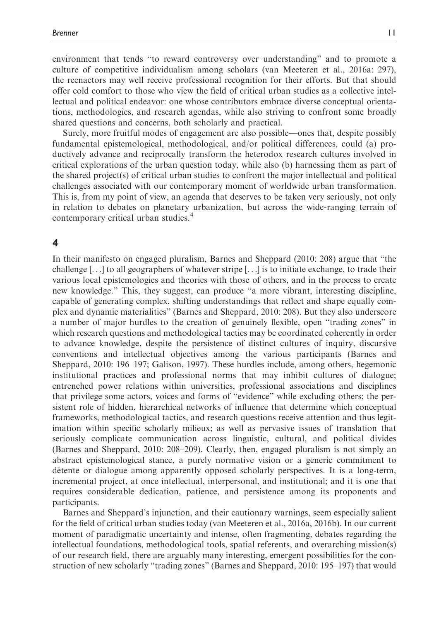environment that tends "to reward controversy over understanding" and to promote a culture of competitive individualism among scholars (van Meeteren et al., 2016a: 297), the reenactors may well receive professional recognition for their efforts. But that should offer cold comfort to those who view the field of critical urban studies as a collective intellectual and political endeavor: one whose contributors embrace diverse conceptual orientations, methodologies, and research agendas, while also striving to confront some broadly shared questions and concerns, both scholarly and practical.

Surely, more fruitful modes of engagement are also possible—ones that, despite possibly fundamental epistemological, methodological, and/or political differences, could (a) productively advance and reciprocally transform the heterodox research cultures involved in critical explorations of the urban question today, while also (b) harnessing them as part of the shared project(s) of critical urban studies to confront the major intellectual and political challenges associated with our contemporary moment of worldwide urban transformation. This is, from my point of view, an agenda that deserves to be taken very seriously, not only in relation to debates on planetary urbanization, but across the wide-ranging terrain of contemporary critical urban studies.<sup>4</sup>

## 4

In their manifesto on engaged pluralism, Barnes and Sheppard (2010: 208) argue that "the challenge [...] to all geographers of whatever stripe [...] is to initiate exchange, to trade their various local epistemologies and theories with those of others, and in the process to create new knowledge." This, they suggest, can produce "a more vibrant, interesting discipline, capable of generating complex, shifting understandings that reflect and shape equally complex and dynamic materialities" (Barnes and Sheppard, 2010: 208). But they also underscore a number of major hurdles to the creation of genuinely flexible, open "trading zones" in which research questions and methodological tactics may be coordinated coherently in order to advance knowledge, despite the persistence of distinct cultures of inquiry, discursive conventions and intellectual objectives among the various participants (Barnes and Sheppard, 2010: 196–197; Galison, 1997). These hurdles include, among others, hegemonic institutional practices and professional norms that may inhibit cultures of dialogue; entrenched power relations within universities, professional associations and disciplines that privilege some actors, voices and forms of "evidence" while excluding others; the persistent role of hidden, hierarchical networks of influence that determine which conceptual frameworks, methodological tactics, and research questions receive attention and thus legitimation within specific scholarly milieux; as well as pervasive issues of translation that seriously complicate communication across linguistic, cultural, and political divides (Barnes and Sheppard, 2010: 208–209). Clearly, then, engaged pluralism is not simply an abstract epistemological stance, a purely normative vision or a generic commitment to détente or dialogue among apparently opposed scholarly perspectives. It is a long-term, incremental project, at once intellectual, interpersonal, and institutional; and it is one that requires considerable dedication, patience, and persistence among its proponents and participants.

Barnes and Sheppard's injunction, and their cautionary warnings, seem especially salient for the field of critical urban studies today (van Meeteren et al., 2016a, 2016b). In our current moment of paradigmatic uncertainty and intense, often fragmenting, debates regarding the intellectual foundations, methodological tools, spatial referents, and overarching mission(s) of our research field, there are arguably many interesting, emergent possibilities for the construction of new scholarly "trading zones" (Barnes and Sheppard, 2010: 195–197) that would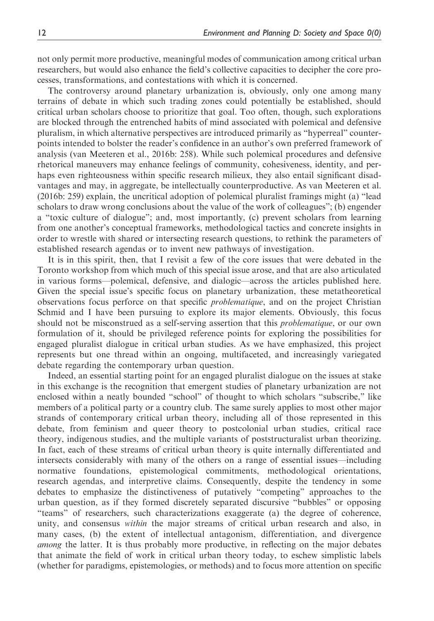not only permit more productive, meaningful modes of communication among critical urban researchers, but would also enhance the field's collective capacities to decipher the core processes, transformations, and contestations with which it is concerned.

The controversy around planetary urbanization is, obviously, only one among many terrains of debate in which such trading zones could potentially be established, should critical urban scholars choose to prioritize that goal. Too often, though, such explorations are blocked through the entrenched habits of mind associated with polemical and defensive pluralism, in which alternative perspectives are introduced primarily as "hyperreal" counterpoints intended to bolster the reader's confidence in an author's own preferred framework of analysis (van Meeteren et al., 2016b: 258). While such polemical procedures and defensive rhetorical maneuvers may enhance feelings of community, cohesiveness, identity, and perhaps even righteousness within specific research milieux, they also entail significant disadvantages and may, in aggregate, be intellectually counterproductive. As van Meeteren et al. (2016b: 259) explain, the uncritical adoption of polemical pluralist framings might (a) "lead scholars to draw wrong conclusions about the value of the work of colleagues"; (b) engender a "toxic culture of dialogue"; and, most importantly, (c) prevent scholars from learning from one another's conceptual frameworks, methodological tactics and concrete insights in order to wrestle with shared or intersecting research questions, to rethink the parameters of established research agendas or to invent new pathways of investigation.

It is in this spirit, then, that I revisit a few of the core issues that were debated in the Toronto workshop from which much of this special issue arose, and that are also articulated in various forms—polemical, defensive, and dialogic—across the articles published here. Given the special issue's specific focus on planetary urbanization, these metatheoretical observations focus perforce on that specific *problematique*, and on the project Christian Schmid and I have been pursuing to explore its major elements. Obviously, this focus should not be misconstrued as a self-serving assertion that this *problematique*, or our own formulation of it, should be privileged reference points for exploring the possibilities for engaged pluralist dialogue in critical urban studies. As we have emphasized, this project represents but one thread within an ongoing, multifaceted, and increasingly variegated debate regarding the contemporary urban question.

Indeed, an essential starting point for an engaged pluralist dialogue on the issues at stake in this exchange is the recognition that emergent studies of planetary urbanization are not enclosed within a neatly bounded "school" of thought to which scholars "subscribe," like members of a political party or a country club. The same surely applies to most other major strands of contemporary critical urban theory, including all of those represented in this debate, from feminism and queer theory to postcolonial urban studies, critical race theory, indigenous studies, and the multiple variants of poststructuralist urban theorizing. In fact, each of these streams of critical urban theory is quite internally differentiated and intersects considerably with many of the others on a range of essential issues—including normative foundations, epistemological commitments, methodological orientations, research agendas, and interpretive claims. Consequently, despite the tendency in some debates to emphasize the distinctiveness of putatively "competing" approaches to the urban question, as if they formed discretely separated discursive "bubbles" or opposing "teams" of researchers, such characterizations exaggerate (a) the degree of coherence, unity, and consensus *within* the major streams of critical urban research and also, in many cases, (b) the extent of intellectual antagonism, differentiation, and divergence among the latter. It is thus probably more productive, in reflecting on the major debates that animate the field of work in critical urban theory today, to eschew simplistic labels (whether for paradigms, epistemologies, or methods) and to focus more attention on specific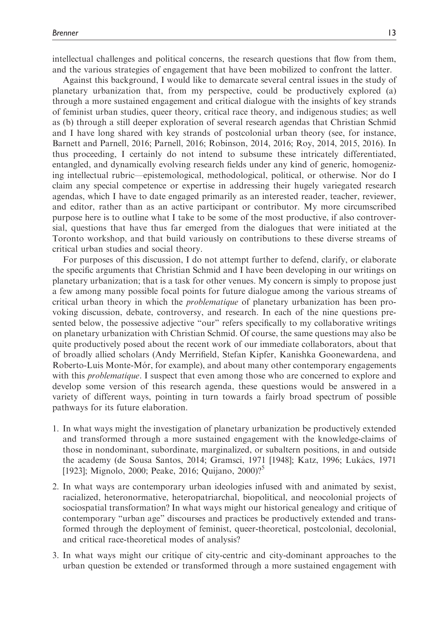intellectual challenges and political concerns, the research questions that flow from them, and the various strategies of engagement that have been mobilized to confront the latter.

Against this background, I would like to demarcate several central issues in the study of planetary urbanization that, from my perspective, could be productively explored (a) through a more sustained engagement and critical dialogue with the insights of key strands of feminist urban studies, queer theory, critical race theory, and indigenous studies; as well as (b) through a still deeper exploration of several research agendas that Christian Schmid and I have long shared with key strands of postcolonial urban theory (see, for instance, Barnett and Parnell, 2016; Parnell, 2016; Robinson, 2014, 2016; Roy, 2014, 2015, 2016). In thus proceeding, I certainly do not intend to subsume these intricately differentiated, entangled, and dynamically evolving research fields under any kind of generic, homogenizing intellectual rubric—epistemological, methodological, political, or otherwise. Nor do I claim any special competence or expertise in addressing their hugely variegated research agendas, which I have to date engaged primarily as an interested reader, teacher, reviewer, and editor, rather than as an active participant or contributor. My more circumscribed purpose here is to outline what I take to be some of the most productive, if also controversial, questions that have thus far emerged from the dialogues that were initiated at the Toronto workshop, and that build variously on contributions to these diverse streams of critical urban studies and social theory.

For purposes of this discussion, I do not attempt further to defend, clarify, or elaborate the specific arguments that Christian Schmid and I have been developing in our writings on planetary urbanization; that is a task for other venues. My concern is simply to propose just a few among many possible focal points for future dialogue among the various streams of critical urban theory in which the problematique of planetary urbanization has been provoking discussion, debate, controversy, and research. In each of the nine questions presented below, the possessive adjective "our" refers specifically to my collaborative writings on planetary urbanization with Christian Schmid. Of course, the same questions may also be quite productively posed about the recent work of our immediate collaborators, about that of broadly allied scholars (Andy Merrifield, Stefan Kipfer, Kanishka Goonewardena, and Roberto-Luis Monte-Mo´r, for example), and about many other contemporary engagements with this *problematique*. I suspect that even among those who are concerned to explore and develop some version of this research agenda, these questions would be answered in a variety of different ways, pointing in turn towards a fairly broad spectrum of possible pathways for its future elaboration.

- 1. In what ways might the investigation of planetary urbanization be productively extended and transformed through a more sustained engagement with the knowledge-claims of those in nondominant, subordinate, marginalized, or subaltern positions, in and outside the academy (de Sousa Santos, 2014; Gramsci, 1971 [1948]; Katz, 1996; Luka´cs, 1971 [1923]; Mignolo, 2000; Peake, 2016; Quijano, 2000)?<sup>5</sup>
- 2. In what ways are contemporary urban ideologies infused with and animated by sexist, racialized, heteronormative, heteropatriarchal, biopolitical, and neocolonial projects of sociospatial transformation? In what ways might our historical genealogy and critique of contemporary "urban age" discourses and practices be productively extended and transformed through the deployment of feminist, queer-theoretical, postcolonial, decolonial, and critical race-theoretical modes of analysis?
- 3. In what ways might our critique of city-centric and city-dominant approaches to the urban question be extended or transformed through a more sustained engagement with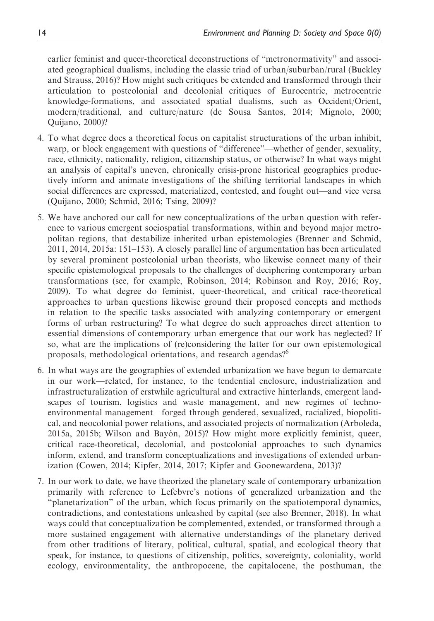earlier feminist and queer-theoretical deconstructions of "metronormativity" and associated geographical dualisms, including the classic triad of urban/suburban/rural (Buckley and Strauss, 2016)? How might such critiques be extended and transformed through their articulation to postcolonial and decolonial critiques of Eurocentric, metrocentric knowledge-formations, and associated spatial dualisms, such as Occident/Orient, modern/traditional, and culture/nature (de Sousa Santos, 2014; Mignolo, 2000; Quijano, 2000)?

- 4. To what degree does a theoretical focus on capitalist structurations of the urban inhibit, warp, or block engagement with questions of "difference"—whether of gender, sexuality, race, ethnicity, nationality, religion, citizenship status, or otherwise? In what ways might an analysis of capital's uneven, chronically crisis-prone historical geographies productively inform and animate investigations of the shifting territorial landscapes in which social differences are expressed, materialized, contested, and fought out—and vice versa (Quijano, 2000; Schmid, 2016; Tsing, 2009)?
- 5. We have anchored our call for new conceptualizations of the urban question with reference to various emergent sociospatial transformations, within and beyond major metropolitan regions, that destabilize inherited urban epistemologies (Brenner and Schmid, 2011, 2014, 2015a: 151–153). A closely parallel line of argumentation has been articulated by several prominent postcolonial urban theorists, who likewise connect many of their specific epistemological proposals to the challenges of deciphering contemporary urban transformations (see, for example, Robinson, 2014; Robinson and Roy, 2016; Roy, 2009). To what degree do feminist, queer-theoretical, and critical race-theoretical approaches to urban questions likewise ground their proposed concepts and methods in relation to the specific tasks associated with analyzing contemporary or emergent forms of urban restructuring? To what degree do such approaches direct attention to essential dimensions of contemporary urban emergence that our work has neglected? If so, what are the implications of (re)considering the latter for our own epistemological proposals, methodological orientations, and research agendas?<sup>6</sup>
- 6. In what ways are the geographies of extended urbanization we have begun to demarcate in our work—related, for instance, to the tendential enclosure, industrialization and infrastructuralization of erstwhile agricultural and extractive hinterlands, emergent landscapes of tourism, logistics and waste management, and new regimes of technoenvironmental management—forged through gendered, sexualized, racialized, biopolitical, and neocolonial power relations, and associated projects of normalization (Arboleda, 2015a, 2015b; Wilson and Bayón, 2015)? How might more explicitly feminist, queer, critical race-theoretical, decolonial, and postcolonial approaches to such dynamics inform, extend, and transform conceptualizations and investigations of extended urbanization (Cowen, 2014; Kipfer, 2014, 2017; Kipfer and Goonewardena, 2013)?
- 7. In our work to date, we have theorized the planetary scale of contemporary urbanization primarily with reference to Lefebvre's notions of generalized urbanization and the "planetarization" of the urban, which focus primarily on the spatiotemporal dynamics, contradictions, and contestations unleashed by capital (see also Brenner, 2018). In what ways could that conceptualization be complemented, extended, or transformed through a more sustained engagement with alternative understandings of the planetary derived from other traditions of literary, political, cultural, spatial, and ecological theory that speak, for instance, to questions of citizenship, politics, sovereignty, coloniality, world ecology, environmentality, the anthropocene, the capitalocene, the posthuman, the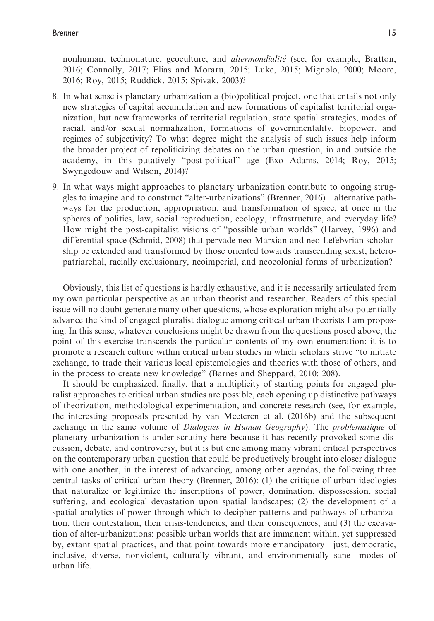nonhuman, technonature, geoculture, and *altermondialité* (see, for example, Bratton, 2016; Connolly, 2017; Elias and Moraru, 2015; Luke, 2015; Mignolo, 2000; Moore, 2016; Roy, 2015; Ruddick, 2015; Spivak, 2003)?

- 8. In what sense is planetary urbanization a (bio)political project, one that entails not only new strategies of capital accumulation and new formations of capitalist territorial organization, but new frameworks of territorial regulation, state spatial strategies, modes of racial, and/or sexual normalization, formations of governmentality, biopower, and regimes of subjectivity? To what degree might the analysis of such issues help inform the broader project of repoliticizing debates on the urban question, in and outside the academy, in this putatively "post-political" age (Exo Adams, 2014; Roy, 2015; Swyngedouw and Wilson, 2014)?
- 9. In what ways might approaches to planetary urbanization contribute to ongoing struggles to imagine and to construct "alter-urbanizations" (Brenner, 2016)—alternative pathways for the production, appropriation, and transformation of space, at once in the spheres of politics, law, social reproduction, ecology, infrastructure, and everyday life? How might the post-capitalist visions of "possible urban worlds" (Harvey, 1996) and differential space (Schmid, 2008) that pervade neo-Marxian and neo-Lefebvrian scholarship be extended and transformed by those oriented towards transcending sexist, heteropatriarchal, racially exclusionary, neoimperial, and neocolonial forms of urbanization?

Obviously, this list of questions is hardly exhaustive, and it is necessarily articulated from my own particular perspective as an urban theorist and researcher. Readers of this special issue will no doubt generate many other questions, whose exploration might also potentially advance the kind of engaged pluralist dialogue among critical urban theorists I am proposing. In this sense, whatever conclusions might be drawn from the questions posed above, the point of this exercise transcends the particular contents of my own enumeration: it is to promote a research culture within critical urban studies in which scholars strive "to initiate exchange, to trade their various local epistemologies and theories with those of others, and in the process to create new knowledge" (Barnes and Sheppard, 2010: 208).

It should be emphasized, finally, that a multiplicity of starting points for engaged pluralist approaches to critical urban studies are possible, each opening up distinctive pathways of theorization, methodological experimentation, and concrete research (see, for example, the interesting proposals presented by van Meeteren et al. (2016b) and the subsequent exchange in the same volume of *Dialogues in Human Geography*). The *problematique* of planetary urbanization is under scrutiny here because it has recently provoked some discussion, debate, and controversy, but it is but one among many vibrant critical perspectives on the contemporary urban question that could be productively brought into closer dialogue with one another, in the interest of advancing, among other agendas, the following three central tasks of critical urban theory (Brenner, 2016): (1) the critique of urban ideologies that naturalize or legitimize the inscriptions of power, domination, dispossession, social suffering, and ecological devastation upon spatial landscapes; (2) the development of a spatial analytics of power through which to decipher patterns and pathways of urbanization, their contestation, their crisis-tendencies, and their consequences; and (3) the excavation of alter-urbanizations: possible urban worlds that are immanent within, yet suppressed by, extant spatial practices, and that point towards more emancipatory—just, democratic, inclusive, diverse, nonviolent, culturally vibrant, and environmentally sane—modes of urban life.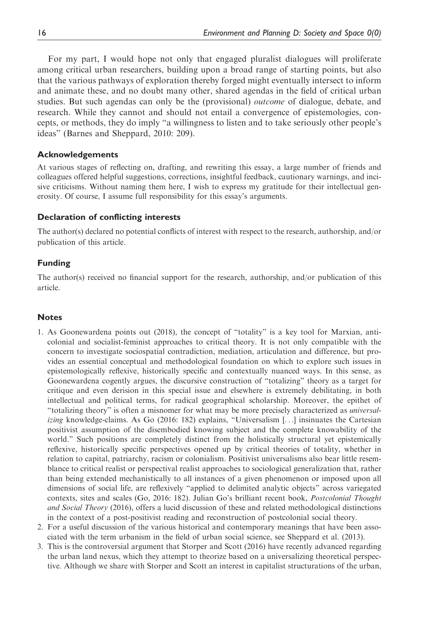For my part, I would hope not only that engaged pluralist dialogues will proliferate among critical urban researchers, building upon a broad range of starting points, but also that the various pathways of exploration thereby forged might eventually intersect to inform and animate these, and no doubt many other, shared agendas in the field of critical urban studies. But such agendas can only be the (provisional) *outcome* of dialogue, debate, and research. While they cannot and should not entail a convergence of epistemologies, concepts, or methods, they do imply "a willingness to listen and to take seriously other people's ideas" (Barnes and Sheppard, 2010: 209).

#### Acknowledgements

At various stages of reflecting on, drafting, and rewriting this essay, a large number of friends and colleagues offered helpful suggestions, corrections, insightful feedback, cautionary warnings, and incisive criticisms. Without naming them here, I wish to express my gratitude for their intellectual generosity. Of course, I assume full responsibility for this essay's arguments.

## Declaration of conflicting interests

The author(s) declared no potential conflicts of interest with respect to the research, authorship, and/or publication of this article.

#### Funding

The author(s) received no financial support for the research, authorship, and/or publication of this article.

#### **Notes**

- 1. As Goonewardena points out (2018), the concept of "totality" is a key tool for Marxian, anticolonial and socialist-feminist approaches to critical theory. It is not only compatible with the concern to investigate sociospatial contradiction, mediation, articulation and difference, but provides an essential conceptual and methodological foundation on which to explore such issues in epistemologically reflexive, historically specific and contextually nuanced ways. In this sense, as Goonewardena cogently argues, the discursive construction of "totalizing" theory as a target for critique and even derision in this special issue and elsewhere is extremely debilitating, in both intellectual and political terms, for radical geographical scholarship. Moreover, the epithet of "totalizing theory" is often a misnomer for what may be more precisely characterized as universalizing knowledge-claims. As Go (2016: 182) explains, "Universalism [...] insinuates the Cartesian positivist assumption of the disembodied knowing subject and the complete knowability of the world." Such positions are completely distinct from the holistically structural yet epistemically reflexive, historically specific perspectives opened up by critical theories of totality, whether in relation to capital, patriarchy, racism or colonialism. Positivist universalisms also bear little resemblance to critical realist or perspectival realist approaches to sociological generalization that, rather than being extended mechanistically to all instances of a given phenomenon or imposed upon all dimensions of social life, are reflexively "applied to delimited analytic objects" across variegated contexts, sites and scales (Go, 2016: 182). Julian Go's brilliant recent book, Postcolonial Thought and Social Theory (2016), offers a lucid discussion of these and related methodological distinctions in the context of a post-positivist reading and reconstruction of postcolonial social theory.
- 2. For a useful discussion of the various historical and contemporary meanings that have been associated with the term urbanism in the field of urban social science, see Sheppard et al. (2013).
- 3. This is the controversial argument that Storper and Scott (2016) have recently advanced regarding the urban land nexus, which they attempt to theorize based on a universalizing theoretical perspective. Although we share with Storper and Scott an interest in capitalist structurations of the urban,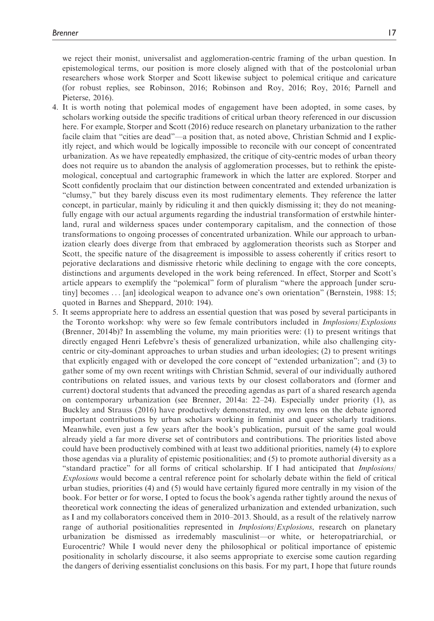we reject their monist, universalist and agglomeration-centric framing of the urban question. In epistemological terms, our position is more closely aligned with that of the postcolonial urban researchers whose work Storper and Scott likewise subject to polemical critique and caricature (for robust replies, see Robinson, 2016; Robinson and Roy, 2016; Roy, 2016; Parnell and Pieterse, 2016).

- 4. It is worth noting that polemical modes of engagement have been adopted, in some cases, by scholars working outside the specific traditions of critical urban theory referenced in our discussion here. For example, Storper and Scott (2016) reduce research on planetary urbanization to the rather facile claim that "cities are dead"—a position that, as noted above, Christian Schmid and I explicitly reject, and which would be logically impossible to reconcile with our concept of concentrated urbanization. As we have repeatedly emphasized, the critique of city-centric modes of urban theory does not require us to abandon the analysis of agglomeration processes, but to rethink the epistemological, conceptual and cartographic framework in which the latter are explored. Storper and Scott confidently proclaim that our distinction between concentrated and extended urbanization is "clumsy," but they barely discuss even its most rudimentary elements. They reference the latter concept, in particular, mainly by ridiculing it and then quickly dismissing it; they do not meaningfully engage with our actual arguments regarding the industrial transformation of erstwhile hinterland, rural and wilderness spaces under contemporary capitalism, and the connection of those transformations to ongoing processes of concentrated urbanization. While our approach to urbanization clearly does diverge from that embraced by agglomeration theorists such as Storper and Scott, the specific nature of the disagreement is impossible to assess coherently if critics resort to pejorative declarations and dismissive rhetoric while declining to engage with the core concepts, distinctions and arguments developed in the work being referenced. In effect, Storper and Scott's article appears to exemplify the "polemical" form of pluralism "where the approach [under scrutiny] becomes ... [an] ideological weapon to advance one's own orientation" (Bernstein, 1988: 15; quoted in Barnes and Sheppard, 2010: 194).
- 5. It seems appropriate here to address an essential question that was posed by several participants in the Toronto workshop: why were so few female contributors included in Implosions/Explosions (Brenner, 2014b)? In assembling the volume, my main priorities were: (1) to present writings that directly engaged Henri Lefebvre's thesis of generalized urbanization, while also challenging citycentric or city-dominant approaches to urban studies and urban ideologies; (2) to present writings that explicitly engaged with or developed the core concept of "extended urbanization"; and (3) to gather some of my own recent writings with Christian Schmid, several of our individually authored contributions on related issues, and various texts by our closest collaborators and (former and current) doctoral students that advanced the preceding agendas as part of a shared research agenda on contemporary urbanization (see Brenner, 2014a: 22–24). Especially under priority (1), as Buckley and Strauss (2016) have productively demonstrated, my own lens on the debate ignored important contributions by urban scholars working in feminist and queer scholarly traditions. Meanwhile, even just a few years after the book's publication, pursuit of the same goal would already yield a far more diverse set of contributors and contributions. The priorities listed above could have been productively combined with at least two additional priorities, namely (4) to explore those agendas via a plurality of epistemic positionalities; and (5) to promote authorial diversity as a "standard practice" for all forms of critical scholarship. If I had anticipated that Implosions/ Explosions would become a central reference point for scholarly debate within the field of critical urban studies, priorities (4) and (5) would have certainly figured more centrally in my vision of the book. For better or for worse, I opted to focus the book's agenda rather tightly around the nexus of theoretical work connecting the ideas of generalized urbanization and extended urbanization, such as I and my collaborators conceived them in 2010–2013. Should, as a result of the relatively narrow range of authorial positionalities represented in *Implosions*/*Explosions*, research on planetary urbanization be dismissed as irredemably masculinist—or white, or heteropatriarchial, or Eurocentric? While I would never deny the philosophical or political importance of epistemic positionality in scholarly discourse, it also seems appropriate to exercise some caution regarding the dangers of deriving essentialist conclusions on this basis. For my part, I hope that future rounds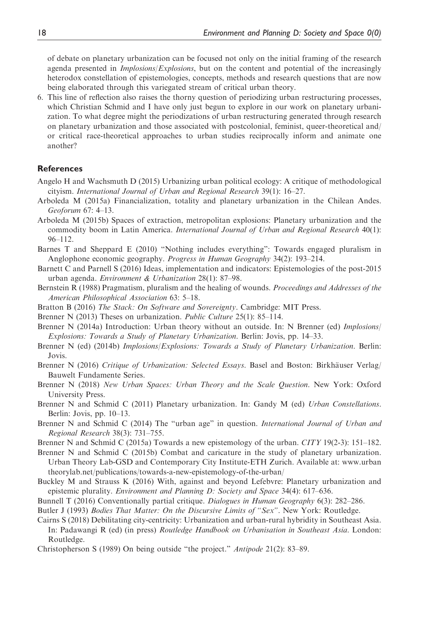of debate on planetary urbanization can be focused not only on the initial framing of the research agenda presented in  $Imploisions/Exploisions$ , but on the content and potential of the increasingly heterodox constellation of epistemologies, concepts, methods and research questions that are now being elaborated through this variegated stream of critical urban theory.

6. This line of reflection also raises the thorny question of periodizing urban restructuring processes, which Christian Schmid and I have only just begun to explore in our work on planetary urbanization. To what degree might the periodizations of urban restructuring generated through research on planetary urbanization and those associated with postcolonial, feminist, queer-theoretical and/ or critical race-theoretical approaches to urban studies reciprocally inform and animate one another?

## **References**

- Angelo H and Wachsmuth D (2015) Urbanizing urban political ecology: A critique of methodological cityism. International Journal of Urban and Regional Research 39(1): 16–27.
- Arboleda M (2015a) Financialization, totality and planetary urbanization in the Chilean Andes. Geoforum 67: 4–13.
- Arboleda M (2015b) Spaces of extraction, metropolitan explosions: Planetary urbanization and the commodity boom in Latin America. International Journal of Urban and Regional Research 40(1): 96–112.
- Barnes T and Sheppard E (2010) "Nothing includes everything": Towards engaged pluralism in Anglophone economic geography. Progress in Human Geography 34(2): 193–214.
- Barnett C and Parnell S (2016) Ideas, implementation and indicators: Epistemologies of the post-2015 urban agenda. Environment & Urbanization 28(1): 87–98.
- Bernstein R (1988) Pragmatism, pluralism and the healing of wounds. Proceedings and Addresses of the American Philosophical Association 63: 5–18.
- Bratton B (2016) The Stack: On Software and Sovereignty. Cambridge: MIT Press.
- Brenner N (2013) Theses on urbanization. *Public Culture* 25(1): 85–114.
- Brenner N (2014a) Introduction: Urban theory without an outside. In: N Brenner (ed) *Implosions*/ Explosions: Towards a Study of Planetary Urbanization. Berlin: Jovis, pp. 14–33.
- Brenner N (ed) (2014b) Implosions/Explosions: Towards a Study of Planetary Urbanization. Berlin: Jovis.
- Brenner N (2016) Critique of Urbanization: Selected Essays. Basel and Boston: Birkhäuser Verlag/ Bauwelt Fundamente Series.
- Brenner N (2018) New Urban Spaces: Urban Theory and the Scale Question. New York: Oxford University Press.
- Brenner N and Schmid C (2011) Planetary urbanization. In: Gandy M (ed) Urban Constellations. Berlin: Jovis, pp. 10–13.
- Brenner N and Schmid C (2014) The "urban age" in question. International Journal of Urban and Regional Research 38(3): 731–755.
- Brenner N and Schmid C (2015a) Towards a new epistemology of the urban. CITY 19(2-3): 151–182.
- Brenner N and Schmid C (2015b) Combat and caricature in the study of planetary urbanization. Urban Theory Lab-GSD and Contemporary City Institute-ETH Zurich. Available at: [www.urban](http://www.urbantheorylab.net/publications/towards-a-new-epistemology-of-the-urban/) [theorylab.net/publications/towards-a-new-epistemology-of-the-urban/](http://www.urbantheorylab.net/publications/towards-a-new-epistemology-of-the-urban/)
- Buckley M and Strauss K (2016) With, against and beyond Lefebvre: Planetary urbanization and epistemic plurality. Environment and Planning D: Society and Space 34(4): 617–636.
- Bunnell T (2016) Conventionally partial critique. Dialogues in Human Geography 6(3): 282–286.
- Butler J (1993) *Bodies That Matter: On the Discursive Limits of "Sex"*. New York: Routledge.
- Cairns S (2018) Debilitating city-centricity: Urbanization and urban-rural hybridity in Southeast Asia. In: Padawangi R (ed) (in press) Routledge Handbook on Urbanisation in Southeast Asia. London: Routledge.
- Christopherson S (1989) On being outside "the project." Antipode 21(2): 83–89.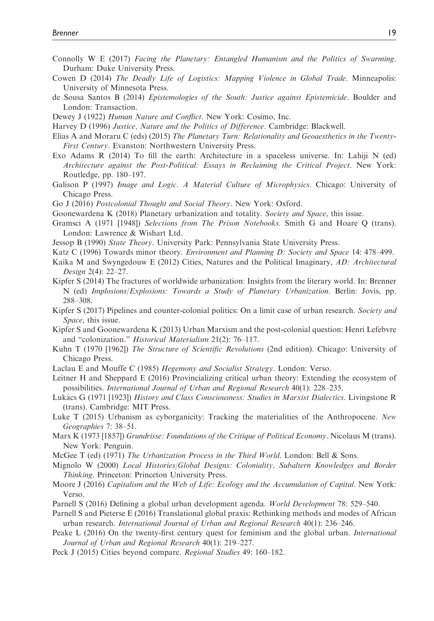- Connolly W E (2017) Facing the Planetary: Entangled Humanism and the Politics of Swarming. Durham: Duke University Press.
- Cowen D (2014) The Deadly Life of Logistics: Mapping Violence in Global Trade. Minneapolis: University of Minnesota Press.
- de Sousa Santos B (2014) Epistemologies of the South: Justice against Epistemicide. Boulder and London: Transaction.
- Dewey J (1922) Human Nature and Conflict. New York: Cosimo, Inc.

Harvey D (1996) Justice, Nature and the Politics of Difference. Cambridge: Blackwell.

- Elias A and Moraru C (eds) (2015) The Planetary Turn: Relationality and Geoaesthetics in the Twenty-First Century. Evanston: Northwestern University Press.
- Exo Adams R (2014) To fill the earth: Architecture in a spaceless universe. In: Lahiji N (ed) Architecture against the Post-Political: Essays in Reclaiming the Critical Project. New York: Routledge, pp. 180–197.
- Galison P (1997) Image and Logic. A Material Culture of Microphysics. Chicago: University of Chicago Press.
- Go J (2016) Postcolonial Thought and Social Theory. New York: Oxford.
- Goonewardena K (2018) Planetary urbanization and totality. Society and Space, this issue.
- Gramsci A (1971 [1948]) Selections from The Prison Notebooks. Smith G and Hoare Q (trans). London: Lawrence & Wishart Ltd.
- Jessop B (1990) State Theory. University Park: Pennsylvania State University Press.
- Katz C (1996) Towards minor theory. Environment and Planning D: Society and Space 14: 478–499.
- Kaika M and Swyngedouw E (2012) Cities, Natures and the Political Imaginary, AD: Architectural Design 2(4): 22–27.
- Kipfer S (2014) The fractures of worldwide urbanization: Insights from the literary world. In: Brenner N (ed) Implosions/Explosions: Towards a Study of Planetary Urbanization. Berlin: Jovis, pp. 288–308.
- Kipfer S (2017) Pipelines and counter-colonial politics: On a limit case of urban research. Society and Space, this issue.
- Kipfer S and Goonewardena K (2013) Urban Marxism and the post-colonial question: Henri Lefebvre and "colonization." Historical Materialism 21(2): 76–117.
- Kuhn T (1970 [1962]) The Structure of Scientific Revolutions (2nd edition). Chicago: University of Chicago Press.
- Laclau E and Mouffe C (1985) Hegemony and Socialist Strategy. London: Verso.
- Leitner H and Sheppard E (2016) Provincializing critical urban theory: Extending the ecosystem of possibilities. International Journal of Urban and Regional Research 40(1): 228–235.
- Lukács G (1971 [1923]) History and Class Consciousness: Studies in Marxist Dialectics. Livingstone R (trans). Cambridge: MIT Press.
- Luke T (2015) Urbanism as cyborganicity: Tracking the materialities of the Anthropocene. New Geographies 7: 38–51.
- Marx K (1973 [1857]) Grundrisse: Foundations of the Critique of Political Economy. Nicolaus M (trans). New York: Penguin.
- McGee T (ed) (1971) The Urbanization Process in the Third World. London: Bell & Sons.
- Mignolo W (2000) Local Histories/Global Designs: Coloniality, Subaltern Knowledges and Border Thinking. Princeton: Princeton University Press.
- Moore J (2016) Capitalism and the Web of Life: Ecology and the Accumulation of Capital. New York: Verso.
- Parnell S (2016) Defining a global urban development agenda. World Development 78: 529–540.
- Parnell S and Pieterse E (2016) Translational global praxis: Rethinking methods and modes of African urban research. International Journal of Urban and Regional Research 40(1): 236–246.
- Peake L (2016) On the twenty-first century quest for feminism and the global urban. *International* Journal of Urban and Regional Research 40(1): 219–227.
- Peck J (2015) Cities beyond compare. Regional Studies 49: 160–182.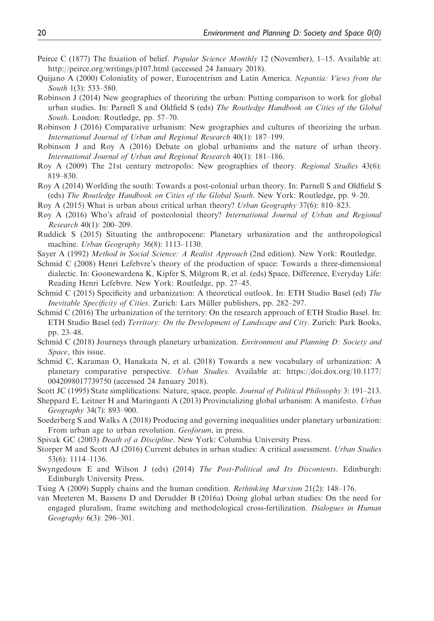- Peirce C (1877) The fixiation of belief. *Popular Science Monthly* 12 (November), 1–15. Available at: <http://peirce.org/writings/p107.html> (accessed 24 January 2018).
- Quijano A (2000) Coloniality of power, Eurocentrism and Latin America. Nepantia: Views from the South 1(3): 533–580.
- Robinson J (2014) New geographies of theorizing the urban: Putting comparison to work for global urban studies. In: Parnell S and Oldfield S (eds) The Routledge Handbook on Cities of the Global South. London: Routledge, pp. 57–70.
- Robinson J (2016) Comparative urbanism: New geographies and cultures of theorizing the urban. International Journal of Urban and Regional Research 40(1): 187–199.
- Robinson J and Roy A (2016) Debate on global urbanisms and the nature of urban theory. International Journal of Urban and Regional Research 40(1): 181–186.
- Roy A (2009) The 21st century metropolis: New geographies of theory. Regional Studies 43(6): 819–830.
- Roy A (2014) Worlding the south: Towards a post-colonial urban theory. In: Parnell S and Oldfield S (eds) The Routledge Handbook on Cities of the Global South. New York: Routledge, pp. 9–20.
- Roy A (2015) What is urban about critical urban theory? Urban Geography 37(6): 810–823.
- Roy A (2016) Who's afraid of postcolonial theory? International Journal of Urban and Regional Research 40(1): 200–209.
- Ruddick S (2015) Situating the anthropocene: Planetary urbanization and the anthropological machine. Urban Geography 36(8): 1113-1130.
- Sayer A (1992) Method in Social Science: A Realist Approach (2nd edition). New York: Routledge.
- Schmid C (2008) Henri Lefebvre's theory of the production of space: Towards a three-dimensional dialectic. In: Goonewardena K, Kipfer S, Milgrom R, et al. (eds) Space, Difference, Everyday Life: Reading Henri Lefebvre. New York: Routledge, pp. 27–45.
- Schmid C (2015) Specificity and urbanization: A theoretical outlook. In: ETH Studio Basel (ed) The Inevitable Specificity of Cities. Zurich: Lars Müller publishers, pp. 282–297.
- Schmid C (2016) The urbanization of the territory: On the research approach of ETH Studio Basel. In: ETH Studio Basel (ed) Territory: On the Development of Landscape and City. Zurich: Park Books, pp. 23–48.
- Schmid C (2018) Journeys through planetary urbanization. Environment and Planning D: Society and Space, this issue.
- Schmid C, Karaman O, Hanakata N, et al. (2018) Towards a new vocabulary of urbanization: A planetary comparative perspective. Urban Studies. Available at: [https://doi.dox.org/10.1177/](https://doi.dox.org/10.1177/0042098017739750) [0042098017739750](https://doi.dox.org/10.1177/0042098017739750) (accessed 24 January 2018).

Scott JC (1995) State simplifications: Nature, space, people. Journal of Political Philosophy 3: 191–213.

- Sheppard E, Leitner H and Maringanti A (2013) Provincializing global urbanism: A manifesto. Urban Geography 34(7): 893–900.
- Soederberg S and Walks A (2018) Producing and governing inequalities under planetary urbanization: From urban age to urban revolution. Geoforum, in press.
- Spivak GC (2003) Death of a Discipline. New York: Columbia University Press.
- Storper M and Scott AJ (2016) Current debates in urban studies: A critical assessment. Urban Studies 53(6): 1114–1136.
- Swyngedouw E and Wilson J (eds) (2014) The Post-Political and Its Discontents. Edinburgh: Edinburgh University Press.
- Tsing A (2009) Supply chains and the human condition. Rethinking Marxism 21(2): 148–176.
- van Meeteren M, Bassens D and Derudder B (2016a) Doing global urban studies: On the need for engaged pluralism, frame switching and methodological cross-fertilization. Dialogues in Human Geography 6(3): 296–301.